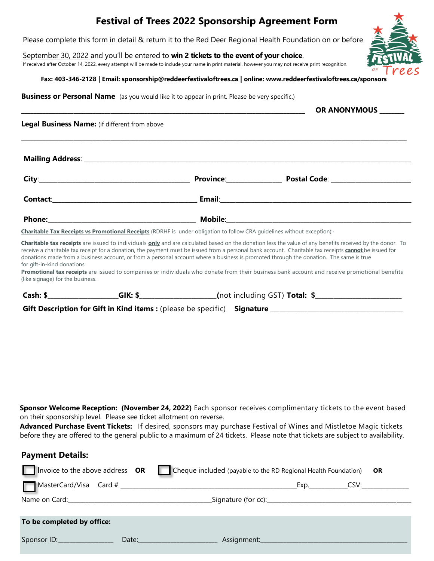## **Festival of Trees 2022 Sponsorship Agreement Form**

Please complete this form in detail & return it to the Red Deer Regional Health Foundation on or before

September 30, 2022 and you'll be entered to **win 2 tickets to the event of your choice**.

If received after October 14, 2022, every attempt will be made to include your name in print material, however you may not receive print recognition.

**Fax: 403-346-2128 | Email: sponsorship@reddeerfestivaloftrees.ca | online: www.reddeerfestivaloftrees.ca/sponsors**

**Business or Personal Name** (as you would like it to appear in print. Please be very specific.)

**Mailing Address**: \_\_\_\_\_\_\_\_\_\_\_\_\_\_\_\_\_\_\_\_\_\_\_\_\_\_\_\_\_\_\_\_\_\_\_\_\_\_\_\_\_\_\_\_\_\_\_\_\_\_\_\_\_\_\_\_\_\_\_\_\_\_\_\_\_\_\_\_\_\_\_\_\_\_\_\_\_\_\_\_\_\_\_\_\_\_\_\_\_\_\_\_\_\_\_\_\_\_\_\_\_\_\_\_\_\_ **City**:\_\_\_\_\_\_\_\_\_\_\_\_\_\_\_\_\_\_\_\_\_\_\_\_\_\_\_\_\_\_\_\_\_\_\_\_\_\_\_\_\_\_\_\_\_\_\_\_\_ **Province**:\_\_\_\_\_\_\_\_\_\_\_\_\_\_\_\_\_\_ **Postal Code**: \_\_\_\_\_\_\_\_\_\_\_\_\_\_\_\_\_\_\_\_\_\_\_\_\_\_ **Contact**:\_\_\_\_\_\_\_\_\_\_\_\_\_\_\_\_\_\_\_\_\_\_\_\_\_\_\_\_\_\_\_\_\_\_\_\_\_\_\_\_\_\_\_\_\_\_\_ **Email**:\_\_\_\_\_\_\_\_\_\_\_\_\_\_\_\_\_\_\_\_\_\_\_\_\_\_\_\_\_\_\_\_\_\_\_\_\_\_\_\_\_\_\_\_\_\_\_\_\_\_\_\_\_\_\_\_\_\_\_\_\_\_ **Phone:**\_\_\_\_\_\_\_\_\_\_\_\_\_\_\_\_\_\_\_\_\_\_\_\_\_\_\_\_\_\_\_\_\_\_\_\_\_\_\_\_\_\_\_\_\_\_\_\_ **Mobile**:\_\_\_\_\_\_\_\_\_\_\_\_\_\_\_\_\_\_\_\_\_\_\_\_\_\_\_\_\_\_\_\_\_\_\_\_\_\_\_\_\_\_\_\_\_\_\_\_\_\_\_\_\_\_\_\_\_\_\_\_ \_\_\_\_\_\_\_\_\_\_\_\_\_\_\_\_\_\_\_\_\_\_\_\_\_\_\_\_\_\_\_\_\_\_\_\_\_\_\_\_\_\_\_\_\_\_\_\_\_\_\_\_\_\_\_\_\_\_\_\_\_\_\_\_\_\_\_\_\_\_\_\_\_\_\_\_\_\_\_\_\_\_\_\_\_\_\_\_\_\_\_\_ **OR ANONYMOUS** \_\_\_\_\_\_\_\_ Legal Business Name: (if different from above \_\_\_\_\_\_\_\_\_\_\_\_\_\_\_\_\_\_\_\_\_\_\_\_\_\_\_\_\_\_\_\_\_\_\_\_\_\_\_\_\_\_\_\_\_\_\_\_\_\_\_\_\_\_\_\_\_\_\_\_\_\_\_\_\_\_\_\_\_\_\_\_\_\_\_\_\_\_\_\_\_\_\_\_\_\_\_\_\_\_\_\_\_\_\_\_\_\_\_\_\_\_\_\_\_\_\_\_\_\_\_\_\_\_\_\_\_\_\_\_\_\_\_\_\_ **Charitable Tax Receipts vs Promotional Receipts** (RDRHF is under obligation to follow CRA guidelines without exception):·

**Charitable tax receipts** are issued to individuals **only** and are calculated based on the donation less the value of any benefits received by the donor. To receive a charitable tax receipt for a donation, the payment must be issued from a personal bank account. Charitable tax receipts **cannot** be issued for donations made from a business account, or from a personal account where a business is promoted through the donation. The same is true for gift-in-kind donations.

**Promotional tax receipts** are issued to companies or individuals who donate from their business bank account and receive promotional benefits (like signage) for the business.

| Cash: 9 | 21 M | (not including GST) <b>Total:</b> * |
|---------|------|-------------------------------------|
|         |      |                                     |

**Gift Description for Gift in Kind items :** (please be specific) **Signature** 

**Payment Details:**

**Sponsor Welcome Reception: (November 24, 2022)** Each sponsor receives complimentary tickets to the event based on their sponsorship level. Please see ticket allotment on reverse.

**Advanced Purchase Event Tickets:** If desired, sponsors may purchase Festival of Wines and Mistletoe Magic tickets before they are offered to the general public to a maximum of 24 tickets. Please note that tickets are subject to availability.

|                            | Invoice to the above address OR Cheque included (payable to the RD Regional Health Foundation)                                                                                                                                | OR |  |
|----------------------------|-------------------------------------------------------------------------------------------------------------------------------------------------------------------------------------------------------------------------------|----|--|
|                            |                                                                                                                                                                                                                               |    |  |
|                            |                                                                                                                                                                                                                               |    |  |
| To be completed by office: |                                                                                                                                                                                                                               |    |  |
| Sponsor ID: Sponsor ID:    | Date: and the contract of the contract of the contract of the contract of the contract of the contract of the contract of the contract of the contract of the contract of the contract of the contract of the contract of the |    |  |